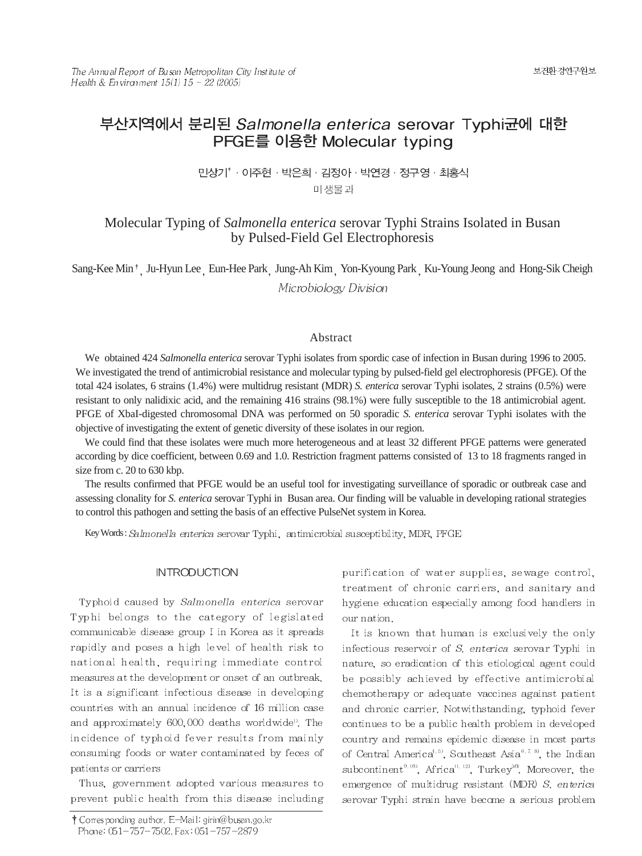# 부산지역에서 분리된 Salmonella enterica serovar Typhi균에 대한 PFGE를 이용한 Molecular typing

민상기<sup>\*</sup> · 이주현 · 박은희 · 김정아 · 박연경 · 정구영 · 최홍식 미생물과

# Molecular Typing of *Salmonella enterica* serovar Typhi Strains Isolated in Busan by Pulsed-Field Gel Electrophoresis

Sang-Kee Min<sup>†</sup> Ju-Hyun Lee Eun-Hee Park Jung-Ah Kim Yon-Kyoung Park Ku-Young Jeong and Hong-Sik Cheigh Microbiology Division

# Abstract

We obtained 424 *Salmonella enterica* serovar Typhi isolates from spordic case of infection in Busan during 1996 to 2005. We investigated the trend of antimicrobial resistance and molecular typing by pulsed-field gel electrophoresis (PFGE). Of the total 424 isolates, 6 strains (1.4%) were multidrug resistant (MDR) *S. enterica* serovar Typhi isolates, 2 strains (0.5%) were resistant to only nalidixic acid, and the remaining 416 strains (98.1%) were fully susceptible to the 18 antimicrobial agent. PFGE of XbaI-digested chromosomal DNA was performed on 50 sporadic *S. enterica* serovar Typhi isolates with the objective of investigating the extent of genetic diversity of these isolates in our region.

We could find that these isolates were much more heterogeneous and at least 32 different PFGE patterns were generated according by dice coefficient, between 0.69 and 1.0. Restriction fragment patterns consisted of 13 to 18 fragments ranged in size from c. 20 to 630 kbp.

The results confirmed that PFGE would be an useful tool for investigating surveillance of sporadic or outbreak case and assessing clonality for *S. enterica* serovar Typhi in Busan area. Our finding will be valuable in developing rational strategies to control this pathogen and setting the basis of an effective PulseNet system in Korea.

Key Words: Salmonella enterica serovar Typhi, antimicrobial susceptibility, MDR, PFGE

# **INTRODUCTION**

Typhoid caused by Salmonella enterica serovar Typhi belongs to the category of legislated communicable disease group I in Korea as it spreads rapidly and poses a high level of health risk to national health, requiring immediate control measures at the development or onset of an outbreak. It is a significant infectious disease in developing countries with an annual incidence of 16 million case and approximately 600,000 deaths worldwide<sup>0</sup>. The incidence of typhoid fever results from mainly consuming foods or water contaminated by feces of patients or carriers

Thus, government adopted various measures to prevent public health from this disease including purification of water supplies, sewage control, treatment of chronic carriers, and sanitary and hygiene education especially among food handlers in our nation.

It is known that human is exclusively the only infectious reservoir of S. enterica serovar Typhi in nature, so eradication of this etiological agent could be possibly achieved by effective antimicrobial chemotherapy or adequate vaccines against patient and chronic carrier. Notwithstanding, typhoid fever continues to be a public health problem in developed country and remains epidemic disease in most parts of Central America<sup>4, 5</sup>, Southeast Asia<sup>6, 7, 8</sup>, the Indian subcontinent<sup>9, 10</sup>, Africa<sup>11, 12</sup>, Turkey<sup>30</sup>, Moreover, the emergence of multidrug resistant (MDR) S. enterical serovar Typhi strain have become a serious problem

<sup>†</sup> Corresponding author. E-Mail: girin@busan.go.kr Phone: 051-757-7502, Fax: 051-757-2879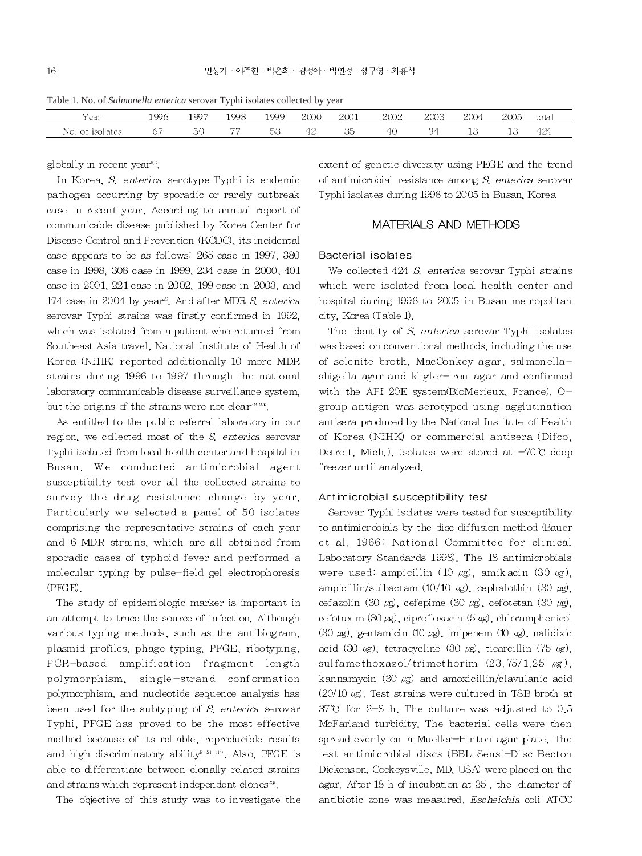Table 1. No. of Salmonella enterica serovar Typhi isolates collected by year

| ∕ear            | 1996 | 1997 | 1998 | 1999 | 2000                 | -2001 | 2002 | 2003 | 2004 | 2005 | total |
|-----------------|------|------|------|------|----------------------|-------|------|------|------|------|-------|
| No. of isolates | -67  | 50   | 77   | 53   | 42<br>$\overline{1}$ | 35    | 40.  | 34   |      |      | 424   |

globally in recent year<sup>10</sup>.

In Korea, S. enterica serotype Typhi is endemic pathogen occurring by sporadic or rarely outbreak case in recent year. According to annual report of communicable disease published by Korea Center for Disease Control and Prevention (KCDC), its incidental case appears to be as follows. 265 case in 1997, 380 case in 1998, 308 case in 1999, 234 case in 2000, 401 case in 2001, 221 case in 2002, 199 case in 2003, and 174 case in 2004 by year<sup>2)</sup>. And after MDR S. enterica serovar Typhi strains was firstly confirmed in 1992, which was isolated from a patient who returned from Southeast Asia travel. National Institute of Health of Korea (NIHK) reported additionally 10 more MDR strains during 1996 to 1997 through the national laboratory communicable disease surveillance system. but the origins of the strains were not clear<sup>22,20</sup>.

As entitled to the public referral laboratory in our region, we collected most of the S. enterica serovar Typhi is dated from local health center and hospital in Busan. We conducted antimicrobial agent susceptibility test over all the collected strains to survey the drug resistance change by year. Particularly we selected a panel of 50 isolates comprising the representative strains of each year and 6 MDR strains, which are all obtained from sporadic cases of typhoid fever and performed a molecular typing by pulse-field gel electrophoresis (PFGE).

The study of epidemiologic marker is important in an attempt to trace the source of infection. Although various typing methods, such as the antibiogram, plasmid profiles, phage typing, PFGE, ribotyping, PCR-based amplification fragment length polymorphism, single-strand conformation polymorphism, and nucleotide sequence analysis has been used for the subtyping of S. enterica serovar Typhi, PFGE has proved to be the most effective method because of its reliable, reproducible results and high discriminatory ability<sup>8, 21, 30</sup>. Also, PFGE is able to differentiate between clonally related strains and strains which represent independent clones<sup>23</sup>.

The objective of this study was to investigate the

extent of genetic diversity using PEGE and the trend of antimicrobial resistance among S, enterica serovar Typhi isolates during 1996 to 2005 in Busan, Korea

# MATERIALS AND METHODS

#### **Bacterial isolates**

We collected 424 S. enterica serovar Typhi strains which were isolated from local health center and hospital during 1996 to 2005 in Busan metropolitan city, Korea (Table 1).

The identity of S. enterica serovar Typhi isolates was based on conventional methods, including the use of selenite broth, MacConkey agar, salmonellashigella agar and kligler-iron agar and confirmed with the API 20E system(BioMerieux, France), Ogroup antigen was serotyped using agglutination antisera produced by the National Institute of Health of Korea (NIHK) or commercial antisera (Difco, Detroit, Mich.). Isolates were stored at  $-70^{\circ}$ C deep freezer until analyzed.

#### Antimicrobial susceptibility test

Serovar Typhi isolates were tested for susceptibility to antimic robials by the disc diffusion method (Bauer et al. 1966: National Committee for clinical Laboratory Standards 1998). The 18 antimicrobials were used: ampicillin (10  $\mu$ g), amikacin (30  $\mu$ g), ampicillin/sulbactam  $(10/10 \mu g)$ , cephalothin  $(30 \mu g)$ , cefazolin (30 µg), cefepime (30 µg), cefotetan (30 µg), cefotaxim  $(30 \mu g)$ , ciprofloxacin  $(5 \mu g)$ , chloramphenicol  $(30 \mu g)$ , gentamicin  $(10 \mu g)$ , imipenem  $(10 \mu g)$ , nalidixic acid (30  $\mu$ g), tetracycline (30  $\mu$ g), ticarcillin (75  $\mu$ g), sulfamethoxazol/trimethorim  $(23.75/1.25 \text{ kg})$ , kannamycin (30  $\mu$ g) and amoxicillin/clavulanic acid  $(20/10 \mu g)$ . Test strains were cultured in TSB broth at 37°C for 2-8 h. The culture was adjusted to  $0.5$ McFarland turbidity. The bacterial cells were then spread evenly on a Mueller-Hinton agar plate. The test antimicrobial discs (BBL Sensi-Disc Becton Dickenson, Cockeysville, MD, USA) were placed on the agar. After 18 h of incubation at 35, the diameter of antibiotic zone was measured. Escheichia coli ATCC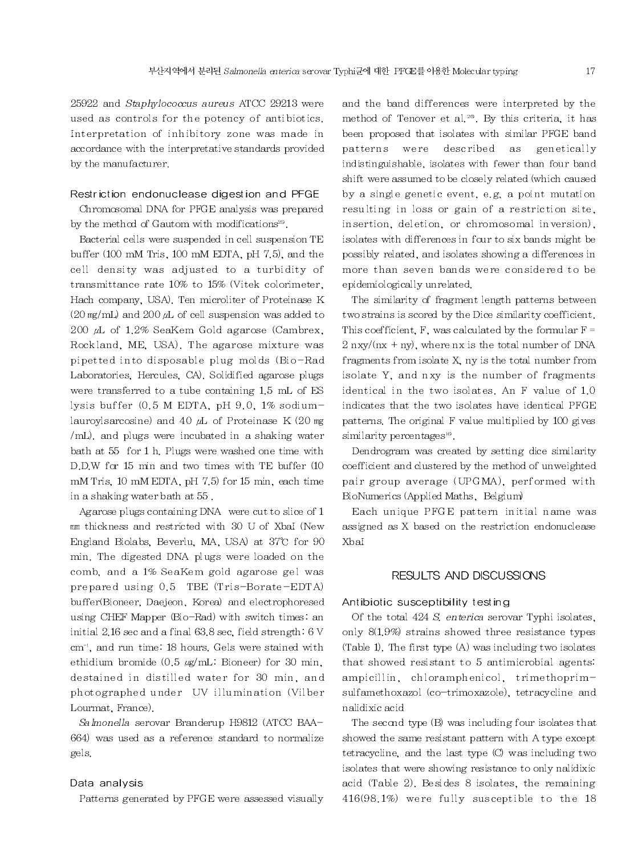25922 and Staphylococcus aureus ATCC 29213 were used as controls for the potency of antibiotics. Interpretation of inhibitory zone was made in accordance with the interpretative standards provided by the manufacturer.

#### Restriction endonuclease digestion and PFGE

Chromosomal DNA for PFGE analysis was prepared by the method of Gautom with modifications<sup>25</sup>.

Bacterial cells were suspended in cell suspension TE buffer (100 mM Tris, 100 mM EDTA, pH 7.5), and the cell density was adjusted to a turbidity of transmittance rate 10% to 15% (Vitek colorimeter, Hach company, USA). Ten microliter of Proteinase K  $(20 \text{ mg/ml})$  and  $200 \mu$ . of cell suspension was added to 200  $\mu$ L of 1.2% SeaKem Gold agarose (Cambrex, Rockland, ME, USA). The agarose mixture was pipetted into disposable plug molds (Bio-Rad Laboratories, Hercules, CA). Solidified agarose plugs were transferred to a tube containing 1.5 mL of ES lysis buffer (0.5 M EDTA, pH 9.0, 1% sodiumlauroylsarcosine) and 40  $\mu$ L of Proteinase K (20 mg /mL), and plugs were incubated in a shaking water bath at 55 for 1 h. Plugs were washed one time with D.D.W for 15 min and two times with TE buffer (10) mM Tris, 10 mM EDTA, pH 7.5) for 15 min, each time in a shaking water bath at 55.

Agarose plugs containing DNA were cut to slice of  $1$ mm thickness and restricted with 30 U of XbaI (New England Biolabs, Beverlu, MA, USA) at 37°C for 90 min. The digested DNA plugs were loaded on the comb, and a 1% SeaKem gold agarose gel was prepared using 0.5 TBE (Tris-Borate-EDTA) buffer(Bioneer, Daejeon, Korea) and electrophoresed using CHEF Mapper (Bio-Rad) with switch times: an initial 2.16 sec and a final 63.8 sec, field strength: 6 V cm<sup>-1</sup>, and run time. 18 hours, Gels were stained with ethidium bromide  $(0.5 \text{ µg/mL}$ : Bioneer) for 30 min, destained in distilled water for 30 min, and photographed under UV illumination (Vilber Lourmat, France).

Salmonella serovar Branderup H9812 (ATCC BAA-664) was used as a reference standard to normalize gels.

# Data analysis

Patterns generated by PFGE were assessed visually

and the band differences were interpreted by the method of Tenover et al.<sup>20</sup>. By this criteria, it has been proposed that isolates with similar PFGE band genetically patterns were described as indistinguishable, isolates with fewer than four band shift were assumed to be closely related (which caused by a single genetic event, e.g. a point mutation resulting in loss or gain of a restriction site. insertion, deletion, or chromosomal inversion), isolates with differences in four to six bands might be possibly related, and isolates showing a differences in more than seven bands were considered to be epidemiologically unrelated.

The similarity of fragment length patterns between two strains is scored by the Dice similarity coefficient. This coefficient, F, was calculated by the formular  $F =$  $2 \nrightarrow$  (nx + ny), where nx is the total number of DNA fragments from isolate X, ny is the total number from isolate Y, and nxy is the number of fragments identical in the two isolates. An F value of 1.0 indicates that the two isolates have identical PFGE patterns. The original F value multiplied by 100 gives similarity percentages<sup>16</sup>.

Dendrogram was created by setting dice similarity coefficient and clustered by the method of unweighted pair group average (UPGMA), performed with BioNumerics (Applied Maths, Belgium)

Each unique PFGE pattern initial name was assigned as X based on the restriction endonuclease XbaI

### RESULTS AND DISCUSSIONS

### Antibiotic susceptibility testing

Of the total 424 S. enterica serovar Typhi isolates. only 8(1.9%) strains showed three resistance types (Table 1). The first type  $(A)$  was including two isolates that showed resistant to 5 antimicrobial agents: ampicillin, chloramphenicol, trimethoprimsulfamethoxazol (co-trimoxazole), tetracycline and nalidixic acid

The second type (B) was including four isolates that showed the same resistant pattern with A type except tetracycline, and the last type (C) was including two isolates that were showing resistance to only nalidixic acid (Table 2). Besides 8 isolates, the remaining 416(98.1%) were fully susceptible to the 18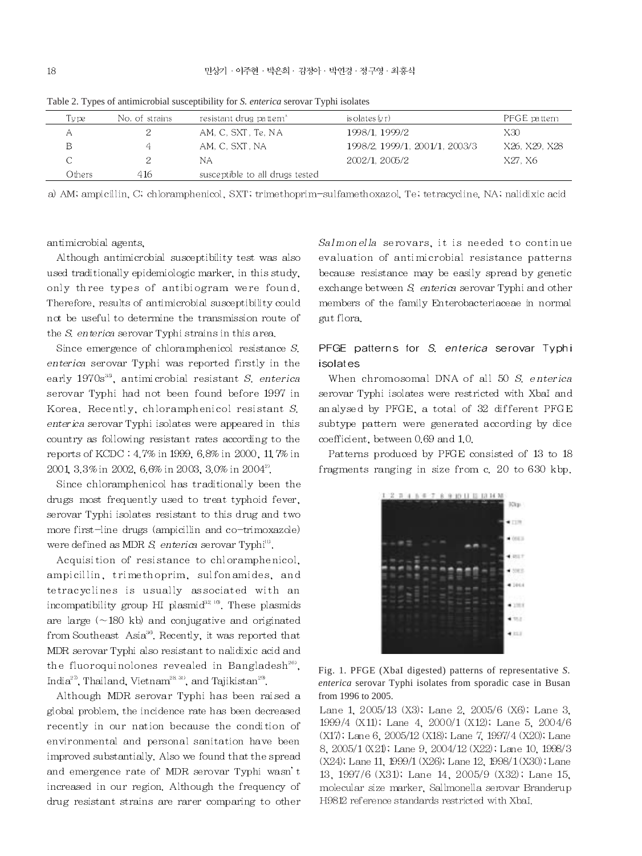| Tvpe   | No. of strains | resistant drug pattern"         | is olates (vr)                 | PFGE pattern  |
|--------|----------------|---------------------------------|--------------------------------|---------------|
| Α      |                | AM, C. SXT, Te, NA              | 1998/1, 1999/2                 | X30           |
| в      | 4              | AM. C. SXT. NA                  | 1998/2, 1999/1, 2001/1, 2003/3 | X26, X29, X28 |
|        |                | NА                              | 2002/1, 2005/2                 | X27. X6       |
| Others | 416            | susceptible to all drugs tested |                                |               |

Table 2. Types of antimicrobial susceptibility for S. enterica serovar Typhi isolates

a) AM; ampicillin, C; chloramphenicol, SXT; trimethoprim-sulfamethoxazol, Te; tetracycline, NA; nalidixic acid

antimicrobial agents.

Although antimicrobial susceptibility test was also used traditionally epidemiologic marker, in this study. only three types of antibiogram were found. Therefore, results of antimicrobial susceptibility could not be useful to determine the transmission route of the S. enterica serovar Typhi strains in this area.

Since emergence of chloramphenicol resistance S. enterica serovar Typhi was reported firstly in the early 1970s<sup>35</sup>, antimicrobial resistant S. enterica serovar Typhi had not been found before 1997 in Korea. Recently, chloramphenicol resistant S. enterica serovar Typhi isolates were appeared in this country as following resistant rates according to the reports of KCDC: 4.7% in 1999, 6.8% in 2000, 11.7% in 2001, 3.3% in 2002, 6.6% in 2003, 3.0% in 2004<sup>2</sup>.

Since chloramphenicol has traditionally been the drugs most frequently used to treat typhoid fever. serovar Typhi isolates resistant to this drug and two more first-line drugs (ampicillin and co-trimoxazole) were defined as MDR  $S$  enterica serovar Typhi<sup>n</sup>.

Acquisition of resistance to chloramphenicol, ampicillin, trimethoprim, sulfonamides, and tetracyclines is usually associated with an incompatibility group HI plasmid<sup>32.10</sup>. These plasmids are large  $(\sim 180$  kb) and conjugative and originated from Southeast Asia<sup>33</sup>. Recently, it was reported that MDR serovar Typhi also resistant to nalidixic acid and the fluoroquinolones revealed in Bangladesh<sup>26</sup>, India<sup>27</sup>, Thailand, Vietnam<sup>28, 30</sup>, and Tajikistan<sup>29</sup>.

Although MDR serovar Typhi has been raised a global problem, the incidence rate has been decreased recently in our nation because the condition of environmental and personal sanitation have been improved substantially. Also we found that the spread and emergence rate of MDR serovar Typhi wasn't increased in our region. Although the frequency of drug resistant strains are rarer comparing to other

Salmonella serovars, it is needed to continue evaluation of antimicrobial resistance patterns because resistance may be easily spread by genetic exchange between S enterica serovar Typhi and other members of the family Enterobacteriaceae in normal gut flora.

# PFGE patterns for S. enterica serovar Typhi isolates

When chromosomal DNA of all 50 S, enterical serovar Typhi isolates were restricted with XbaI and analysed by PFGE, a total of 32 different PFGE subtype pattern were generated according by dice coefficient, between 0.69 and 1.0.

Patterns produced by PFGE consisted of 13 to 18 fragments ranging in size from c. 20 to 630 kbp.



Fig. 1. PFGE (XbaI digested) patterns of representative S. enterica serovar Typhi isolates from sporadic case in Busan from 1996 to 2005.

Lane 1, 2005/13 (X3); Lane 2, 2005/6 (X6); Lane 3, 1999/4 (X11); Lane 4, 2000/1 (X12); Lane 5, 2004/6 (X17); Lane 6, 2005/12 (X18); Lane 7, 1997/4 (X20); Lane 8, 2005/1 (X21); Lane 9, 2004/12 (X22); Lane 10, 1998/3  $(X24)$ ; Lane 11, 1999/1  $(X26)$ ; Lane 12, 1998/1  $(X30)$ ; Lane 13, 1997/6 (X31); Lane 14, 2005/9 (X32); Lane 15, molecular size marker. Sallmonella serovar Branderup H9812 reference standards restricted with XbaI.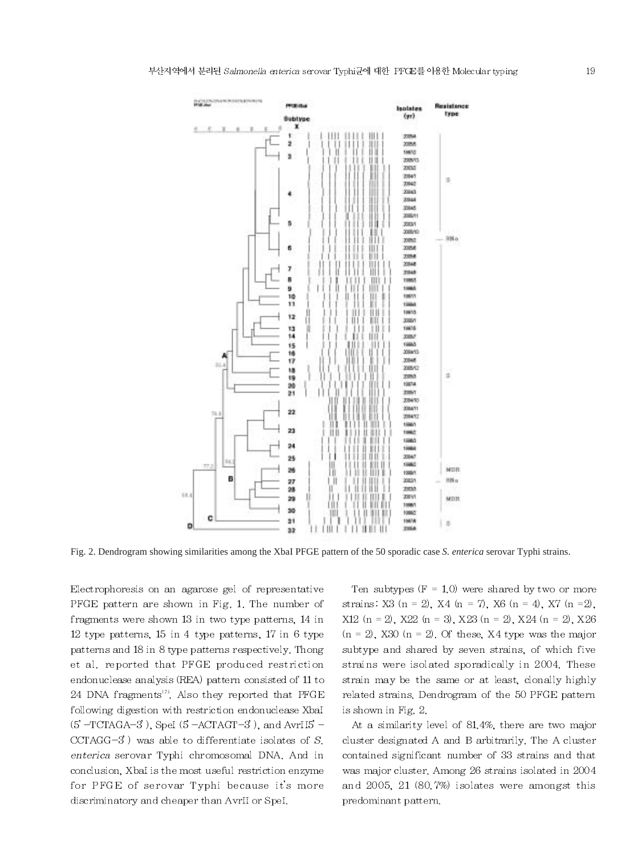

Fig. 2. Dendrogram showing similarities among the XbaI PFGE pattern of the 50 sporadic case S. enterica serovar Typhi strains.

Electrophoresis on an agarose gel of representative PFGE pattern are shown in Fig. 1. The number of fragments were shown 13 in two type patterns, 14 in 12 type patterns, 15 in 4 type patterns, 17 in 6 type patterns and 18 in 8 type patterns respectively. Thong et al. reported that PFGE produced restriction endonuclease analysis (REA) pattern consisted of 11 to 24 DNA fragments<sup>17</sup>. Also they reported that PFGE following digestion with restriction endonuclease XbaI  $(5 - TCTAGA - 3)$ , SpeI  $(5 - ACTAGT - 3)$ , and AvrII5<sup>-</sup>  $CCTAGG-3'$ ) was able to differentiate isolates of S. enterica serovar Typhi chromosomal DNA. And in conclusion. XbaI is the most useful restriction enzyme for PFGE of serovar Typhi because it's more discriminatory and cheaper than AvrII or SpeI.

Ten subtypes  $(F = 1,0)$  were shared by two or more strains: X3 (n = 2), X4 (n = 7), X6 (n = 4), X7 (n = 2),  $X12$  (n = 2),  $X22$  (n = 3),  $X23$  (n = 2),  $X24$  (n = 2),  $X26$  $(n = 2)$ , X30  $(n = 2)$ . Of these, X4 type was the major subtype and shared by seven strains, of which five strains were isolated sporadically in 2004. These strain may be the same or at least, clonally highly related strains. Dendrogram of the 50 PFGE pattern is shown in Fig. 2.

At a similarity level of 81.4%, there are two major cluster designated A and B arbitrarily. The A cluster contained significant number of 33 strains and that was major cluster, Among  $26$  strains isolated in  $2004\,$ and 2005, 21 (80.7%) isolates were amongst this predominant pattern.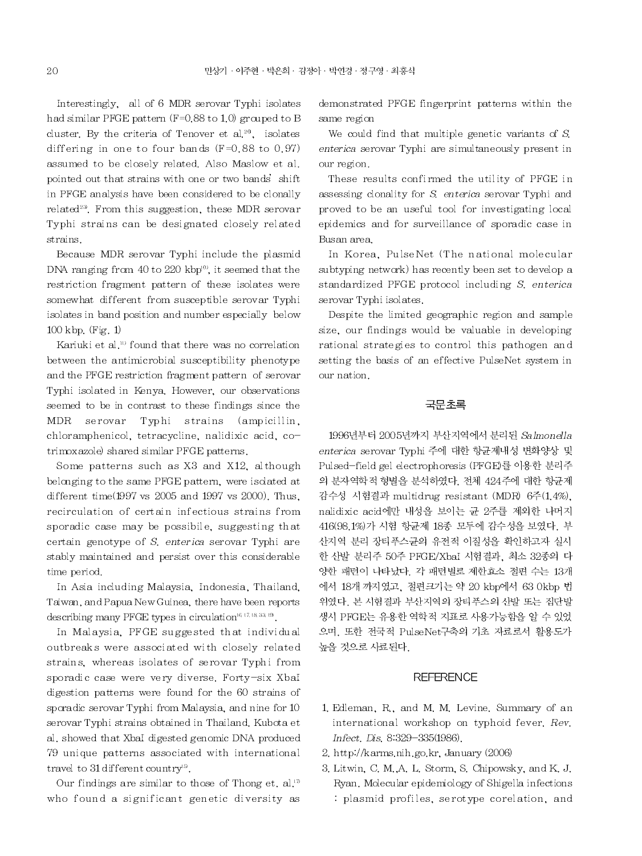Interestingly, all of 6 MDR serovar Typhi isolates had similar PFGE pattern (F=0.88 to 1.0) grouped to B cluster. By the criteria of Tenover et al.<sup>20</sup>, isolates differing in one to four bands  $(F=0.88$  to 0.97) assumed to be closely related. Also Maslow et al. pointed out that strains with one or two bands' shift in PFGE analysis have been considered to be clonally related<sup>23</sup>. From this suggestion, these MDR serovar Typhi strains can be designated closely related strains.

Because MDR serovar Typhi include the plasmid DNA ranging from 40 to 220 kbp<sup>10</sup>, it seemed that the restriction fragment pattern of these isolates were somewhat different from susceptible serovar Typhi isolates in band position and number especially below  $100$  kbp. (Fig. 1)

Kariuki et al.<sup>10</sup> found that there was no correlation between the antimicrobial susceptibility phenotype and the PFGE restriction fragment pattern of serovar Typhi isolated in Kenya. However, our observations seemed to be in contrast to these findings since the MDR serovar Typhi strains (ampicillin, chloramphenicol, tetracycline, nalidixic acid, cotrimoxazole) shared similar PFGE patterns.

Some patterns such as X3 and X12, although belonging to the same PFGE pattern, were isolated at different time $(1997 \text{ vs } 2005 \text{ and } 1997 \text{ vs } 2000)$ . Thus, recirculation of certain infectious strains from sporadic case may be possibile, suggesting that certain genotype of S. enterica serovar Typhi are stably maintained and persist over this considerable time period.

In Asia including Malaysia, Indonesia, Thailand, Taiwan, and Papua New Guinea, there have been reports describing many PFGE types in circulation<sup>16,17,18,33,19</sup>.

In Malaysia, PFGE suggested that individual outbreaks were associated with closely related strains, whereas isolates of serovar Typhi from sporadic case were very diverse. Forty-six XbaI digestion patterns were found for the 60 strains of sporadic serovar Typhi from Malaysia, and nine for 10 serovar Typhi strains obtained in Thailand. Kubota et al, showed that XbaI digested genomic DNA produced 79 unique patterns associated with international travel to 31 different country<sup>19</sup>.

Our findings are similar to those of Thong et. al.<sup>17</sup> who found a significant genetic diversity as demonstrated PFGE fingerprint patterns within the same region

We could find that multiple genetic variants of  $S$ . enterica serovar Typhi are simultaneously present in our region.

These results confirmed the utility of PFGE in assessing clonality for S. enterica serovar Typhi and proved to be an useful tool for investigating local epidemics and for surveillance of sporadic case in Busan area.

In Korea, PulseNet (The national molecular subtyping network) has recently been set to develop a standardized PFGE protocol including S. enterical serovar Typhi isolates.

Despite the limited geographic region and sample size, our findings would be valuable in developing rational strategies to control this pathogen and setting the basis of an effective PulseNet system in our nation.

### 국문초록

1996년부터 2005년까지 부산지역에서 분리된 Salmonella enterica serovar Typhi 주에 대한 항균제내성 변화양상 및 Pulsed-field gel electrophoresis (PFGE)를 이용한 분리주 의 분자역학적 형별을 분석하였다. 전체 424주에 대한 항균제 감수성 시험결과 multidrug resistant (MDR) 6주(1.4%). nalidixic acid에만 내성을 보이는 균 2주를 제외한 나머지 416(98.1%)가 시험 항균제 18종 모두에 감수성을 보였다. 부 산지역 분리 장티푸스균의 유전적 이질성을 확인하고자 실시 한 산발 분리주 50주 PFGE/XbaI 시험결과, 최소 32종의 다 양한 패턴이 나타났다. 각 패턴별로 제한효소 절편 수는 13개 에서 18개 까지였고, 절편크기는 약 20 kbp에서 63 0kbp 법 위였다. 본 시험결과 부산지역의 장티푸스의 산발 또는 집단발 생시 PFGE는 유용한 역학적 지표로 사용가능함을 알 수 있었 으며, 또한 전국적 PulseNet구축의 기초 자료로서 활용도가 높을 것으로 사료된다.

# **REFERENCE**

- 1. Edleman, R., and M. M. Levine. Summary of an international workshop on typhoid fever. Rev. Infect. Dis. 8:329-335(1986).
- 2. http://karms.nih.go.kr. January (2006)
- 3. Litwin, C. M., A. L. Storm, S. Chipowsky, and K. J. Ryan. Molecular epidemiology of Shigella infections : plasmid profiles, serotype corelation, and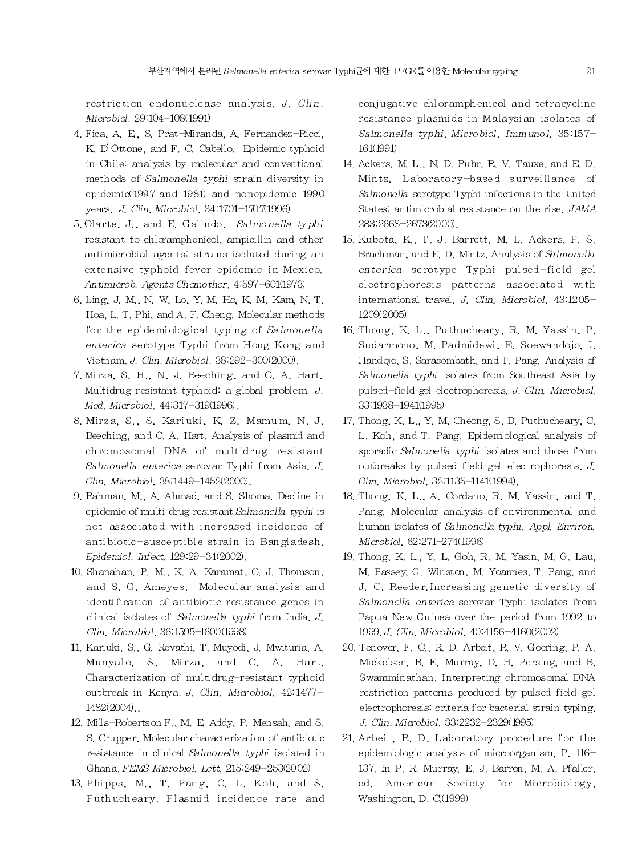restriction endonuclease analysis. J. Clin. Microbiol, 29:104-108(1991)

- 4. Fica, A. E., S. Prat-Miranda, A. Fernandez-Ricci, K, D'Ottone, and F, C, Cabello, Epidemic typhoid in Chile: analysis by molecular and conventional methods of Salmonella typhi strain diversity in epidemic(1997 and 1981) and nonepidemic 1990 years. J. Clin. Microbiol. 34:1701-1707(1996)
- 5. Olarte, J., and E. Galindo. Salmonella typhi resistant to chloramphenicol, ampicillin and other antimicrobial agents: strains isolated during an extensive typhoid fever epidemic in Mexico. Antimicrob. Agents Chemother. 4.597-601(1973)
- 6. Ling, J. M., N. W. Lo, Y. M. Ho, K. M. Kam, N. T. Hoa, L. T. Phi, and A. F. Cheng. Molecular methods for the epidemiological typing of Salmonella enterica serotype Typhi from Hong Kong and Vietnam, J. Clin, Microbiol, 38:292-300(2000).
- 7. Mirza, S. H., N. J. Beeching, and C. A. Hart. Multidrug resistant typhoid: a global problem.  $J$ . Med. Microbiol. 44.317-319(1996).
- 8. Mirza, S., S. Kariuki, K. Z. Mamum, N. J. Beeching, and C. A. Hart. Analysis of plasmid and chromosomal DNA of multidrug resistant Salmonella enterica serovar Typhi from Asia, J. Clin. Microbiol. 38:1449-1452(2000).
- 9. Rahman, M., A. Ahmad, and S. Shoma, Decline in epidemic of multi drug resistant Salmonella typhi is not associated with increased incidence of antibiotic-susceptible strain in Bangladesh. Epidemiol. Infect. 129.29-34(2002).
- 10. Shanahan, P. M., K. A. Karamat, C. J. Thomson, and S. G. Ameyes. Molecular analysis and identification of antibiotic resistance genes in clinical isolates of Salmonella typhi from India. J. Clin. Microbiol. 36:1595-1600(1998)
- 11. Kariuki, S., G. Revathi, T. Muyodi, J. Mwituria, A. Munyalo, S. Mirza, and C. A. Hart. Characterization of multidrug-resistant typhoid outbreak in Kenya J. Clin. Microbiol. 42.1477-1482(2004).
- 12. Mills-Robertson F., M. E. Addy, P. Mensah, and S. S. Crupper, Molecular characterization of antibiotic resistance in clinical Salmonella typhi isolated in Ghana, FEMS Microbiol, Lett. 215:249-253(2002)
- 13. Phipps, M., T. Pang, C. L. Koh, and S. Puthucheary. Plasmid incidence rate and

conjugative chloramphenicol and tetracycline resistance plasmids in Malaysian isolates of Salmonella typhi. Microbiol. Immunol. 35:157-161(1991)

- 14. Ackers, M. L., N. D. Puhr, R. V. Tauxe, and E. D. Mintz. Laboratory-based surveillance of Salmonella serotype Typhi infections in the United States: antimicrobial resistance on the rise, JAMA 283.2668-2673(2000).
- 15. Kubota, K., T. J. Barrett, M. L. Ackers, P. S. Brachman, and E. D. Mintz. Analysis of Salmonella enterica serotype Typhi pulsed-field gel electrophoresis patterns associated with international travel. J. Clin. Microbiol. 43:1205-1209(2005)
- 16. Thong, K. L., Puthucheary, R. M. Yassin, P. Sudarmono, M. Padmidewi, E. Soewandojo, I. Handojo, S. Sarasombath, and T. Pang. Analysis of Salmonella typhi isolates from Southeast Asia by pulsed-field gel electrophoresis, J. Clin, Microbiol, 33:1938-1941(1995)
- 17. Thong, K. L., Y. M. Cheong, S. D. Puthucheary, C. L. Koh, and T. Pang. Epidemiological analysis of sporadic Salmonella typhi isolates and those from outbreaks by pulsed field gel electrophoresis.  $J$ . Clin. Microbiol. 32:1135-1141(1994).
- 18. Thong, K. L., A. Cordano, R. M. Yassin, and T. Pang. Molecular analysis of environmental and human isolates of Salmonella typhi. Appl. Environ. Microbiol, 62:271-274(1996)
- 19. Thong, K. L., Y. L. Goh, R. M. Yasin, M. G. Lau, M. Passey, G. Winston, M. Yoannes, T. Pang, and J. C. Reeder Increasing genetic diversity of Salmonella enterica serovar Typhi isolates from Papua New Guinea over the period from 1992 to 1999. J. Clin. Microbiol. 40.4156-4160(2002)
- 20. Tenover, F. C., R. D. Arbeit, R. V. Goering, P. A. Mickelsen, B. E. Murray, D. H. Persing, and B. Swamminathan, Interpreting chromosomal DNA restriction patterns produced by pulsed field gel electrophoresis: criteria for bacterial strain typing. J. Clin. Microbiol. 33.2232-2329(1995)
- 21. Arbeit, R. D. Laboratory procedure for the epidemiologic analysis of microorganism, P. 116-137. In P. R. Murray, E. J. Barron, M. A. Pfaller, ed. American Society for Microbiology, Washington, D. C.(1999)